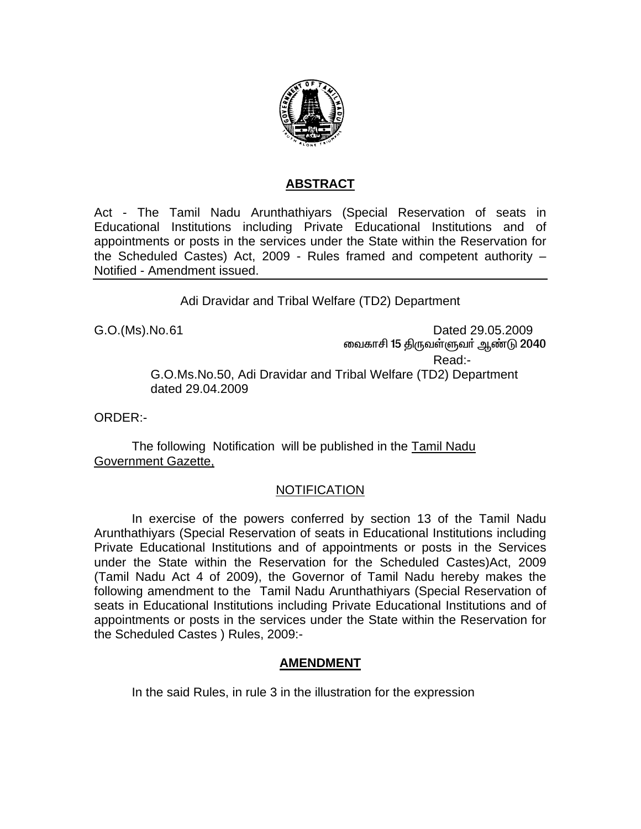

## **ABSTRACT**

Act - The Tamil Nadu Arunthathiyars (Special Reservation of seats in Educational Institutions including Private Educational Institutions and of appointments or posts in the services under the State within the Reservation for the Scheduled Castes) Act, 2009 - Rules framed and competent authority – Notified - Amendment issued.

Adi Dravidar and Tribal Welfare (TD2) Department

G.O.(Ms).No. 61 Dated 29.05.2009 வைகாசி 15 திருவள்ளுவர் ஆண்டு 2040 Read:- G.O.Ms.No.50, Adi Dravidar and Tribal Welfare (TD2) Department dated 29.04.2009

ORDER:-

 The following Notification will be published in the Tamil Nadu Government Gazette,

## NOTIFICATION

 In exercise of the powers conferred by section 13 of the Tamil Nadu Arunthathiyars (Special Reservation of seats in Educational Institutions including Private Educational Institutions and of appointments or posts in the Services under the State within the Reservation for the Scheduled Castes)Act, 2009 (Tamil Nadu Act 4 of 2009), the Governor of Tamil Nadu hereby makes the following amendment to the Tamil Nadu Arunthathiyars (Special Reservation of seats in Educational Institutions including Private Educational Institutions and of appointments or posts in the services under the State within the Reservation for the Scheduled Castes ) Rules, 2009:-

## **AMENDMENT**

In the said Rules, in rule 3 in the illustration for the expression